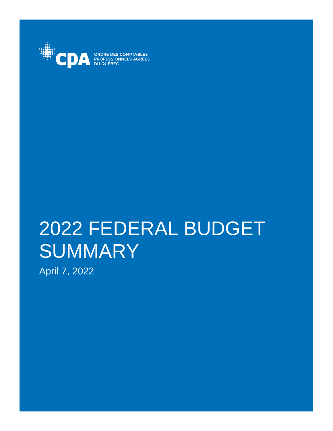

ORDRE DES COMPTABLES<br>PROFESSIONNELS AGRÉÉS

# 2022 FEDERAL BUDGET **SUMMARY**

April 7, 2022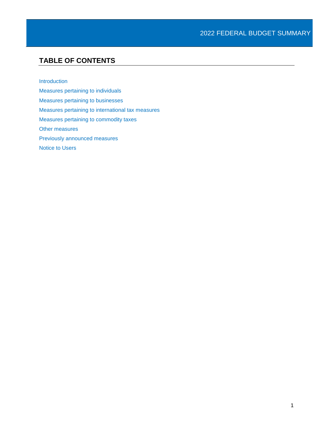# **TABLE OF CONTENTS**

[Introduction](#page-3-0)

[Measures pertaining to individuals](#page-4-0) [Measures pertaining to businesses](#page-8-0) [Measures pertaining to international tax measures](#page-11-0) [Measures pertaining to commodity taxes](#page-12-0) [Other measures](#page-13-0) [Previously announced measures](#page-14-0) [Notice to Users](#page-16-0)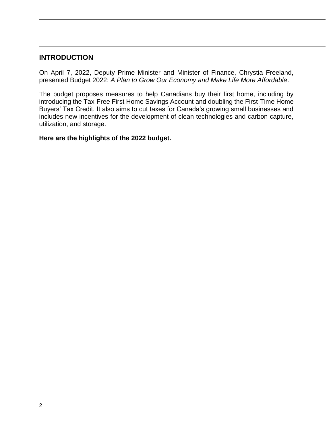# <span id="page-3-0"></span>**INTRODUCTION**

On April 7, 2022, Deputy Prime Minister and Minister of Finance, Chrystia Freeland, presented Budget 2022: *A Plan to Grow Our Economy and Make Life More Affordable*.

The budget proposes measures to help Canadians buy their first home, including by introducing the Tax-Free First Home Savings Account and doubling the First-Time Home Buyers' Tax Credit. It also aims to cut taxes for Canada's growing small businesses and includes new incentives for the development of clean technologies and carbon capture, utilization, and storage.

**Here are the highlights of the 2022 budget.**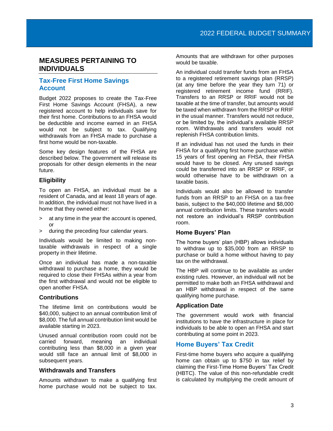## <span id="page-4-0"></span>**MEASURES PERTAINING TO INDIVIDUALS**

## **Tax-Free First Home Savings Account**

Budget 2022 proposes to create the Tax-Free First Home Savings Account (FHSA), a new registered account to help individuals save for their first home. Contributions to an FHSA would be deductible and income earned in an FHSA would not be subject to tax. Qualifying withdrawals from an FHSA made to purchase a first home would be non-taxable.

Some key design features of the FHSA are described below. The government will release its proposals for other design elements in the near future.

#### **Eligibility**

To open an FHSA, an individual must be a resident of Canada, and at least 18 years of age. In addition, the individual must not have lived in a home that they owned either:

- > at any time in the year the account is opened, or
- > during the preceding four calendar years.

Individuals would be limited to making nontaxable withdrawals in respect of a single property in their lifetime.

Once an individual has made a non-taxable withdrawal to purchase a home, they would be required to close their FHSAs within a year from the first withdrawal and would not be eligible to open another FHSA.

## **Contributions**

The lifetime limit on contributions would be \$40,000, subject to an annual contribution limit of \$8,000. The full annual contribution limit would be available starting in 2023.

Unused annual contribution room could not be carried forward, meaning an individual contributing less than \$8,000 in a given year would still face an annual limit of \$8,000 in subsequent years.

## **Withdrawals and Transfers**

Amounts withdrawn to make a qualifying first home purchase would not be subject to tax.

Amounts that are withdrawn for other purposes would be taxable.

An individual could transfer funds from an FHSA to a registered retirement savings plan (RRSP) (at any time before the year they turn 71) or registered retirement income fund (RRIF). Transfers to an RRSP or RRIF would not be taxable at the time of transfer, but amounts would be taxed when withdrawn from the RRSP or RRIF in the usual manner. Transfers would not reduce, or be limited by, the individual's available RRSP room. Withdrawals and transfers would not replenish FHSA contribution limits.

If an individual has not used the funds in their FHSA for a qualifying first home purchase within 15 years of first opening an FHSA, their FHSA would have to be closed. Any unused savings could be transferred into an RRSP or RRIF, or would otherwise have to be withdrawn on a taxable basis.

Individuals would also be allowed to transfer funds from an RRSP to an FHSA on a tax-free basis, subject to the \$40,000 lifetime and \$8,000 annual contribution limits. These transfers would not restore an individual's RRSP contribution room.

#### **Home Buyers' Plan**

The home buyers' plan (HBP) allows individuals to withdraw up to \$35,000 from an RRSP to purchase or build a home without having to pay tax on the withdrawal.

The HBP will continue to be available as under existing rules. However, an individual will not be permitted to make both an FHSA withdrawal and an HBP withdrawal in respect of the same qualifying home purchase.

## **Application Date**

The government would work with financial institutions to have the infrastructure in place for individuals to be able to open an FHSA and start contributing at some point in 2023.

## **Home Buyers' Tax Credit**

First-time home buyers who acquire a qualifying home can obtain up to \$750 in tax relief by claiming the First-Time Home Buyers' Tax Credit (HBTC). The value of this non-refundable credit is calculated by multiplying the credit amount of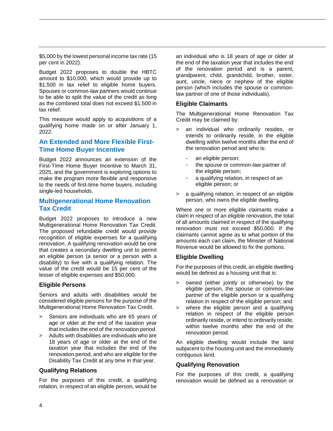\$5,000 by the lowest personal income tax rate (15 per cent in 2022).

Budget 2022 proposes to double the HBTC amount to \$10,000, which would provide up to \$1,500 in tax relief to eligible home buyers. Spouses or common-law partners would continue to be able to split the value of the credit as long as the combined total does not exceed \$1,500 in tax relief.

This measure would apply to acquisitions of a qualifying home made on or after January 1, 2022.

## **An Extended and More Flexible First-Time Home Buyer Incentive**

Budget 2022 announces an extension of the First-Time Home Buyer Incentive to March 31, 2025, and the government is exploring options to make the program more flexible and responsive to the needs of first-time home buyers, including single-led households.

## **Multigenerational Home Renovation Tax Credit**

Budget 2022 proposes to introduce a new Multigenerational Home Renovation Tax Credit. The proposed refundable credit would provide recognition of eligible expenses for a qualifying renovation. A qualifying renovation would be one that creates a secondary dwelling unit to permit an eligible person (a senior or a person with a disability) to live with a qualifying relation. The value of the credit would be 15 per cent of the lesser of eligible expenses and \$50,000.

#### **Eligible Persons**

Seniors and adults with disabilities would be considered eligible persons for the purpose of the Multigenerational Home Renovation Tax Credit.

- > Seniors are individuals who are 65 years of age or older at the end of the taxation year that includes the end of the renovation period.
- > Adults with disabilities are individuals who are 18 years of age or older at the end of the taxation year that includes the end of the renovation period, and who are eligible for the Disability Tax Credit at any time in that year.

#### **Qualifying Relations**

For the purposes of this credit, a qualifying relation, in respect of an eligible person, would be

an individual who is 18 years of age or older at the end of the taxation year that includes the end of the renovation period and is a parent, grandparent, child, grandchild, brother, sister, aunt, uncle, niece or nephew of the eligible person (which includes the spouse or commonlaw partner of one of those individuals).

#### **Eligible Claimants**

The Multigenerational Home Renovation Tax Credit may be claimed by:

- > an individual who ordinarily resides, or intends to ordinarily reside, in the eligible dwelling within twelve months after the end of the renovation period and who is:
	- an eligible person;
	- the spouse or common-law partner of the eligible person;
	- a qualifying relation, in respect of an eligible person; or
- > a qualifying relation, in respect of an eligible person, who owns the eligible dwelling.

Where one or more eligible claimants make a claim in respect of an eligible renovation, the total of all amounts claimed in respect of the qualifying renovation must not exceed \$50,000. If the claimants cannot agree as to what portion of the amounts each can claim, the Minister of National Revenue would be allowed to fix the portions.

#### **Eligible Dwelling**

For the purposes of this credit, an eligible dwelling would be defined as a housing unit that is:

- > owned (either jointly or otherwise) by the eligible person, the spouse or common-law partner of the eligible person or a qualifying relation in respect of the eligible person; and
- > where the eligible person and a qualifying relation in respect of the eligible person ordinarily reside, or intend to ordinarily reside, within twelve months after the end of the renovation period.

An eligible dwelling would include the land subjacent to the housing unit and the immediately contiguous land.

#### **Qualifying Renovation**

For the purposes of this credit, a qualifying renovation would be defined as a renovation or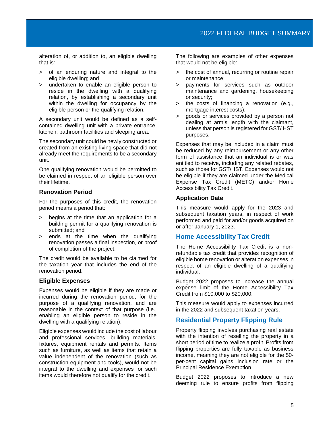alteration of, or addition to, an eligible dwelling that is:

- > of an enduring nature and integral to the eligible dwelling; and
- > undertaken to enable an eligible person to reside in the dwelling with a qualifying relation, by establishing a secondary unit within the dwelling for occupancy by the eligible person or the qualifying relation.

A secondary unit would be defined as a selfcontained dwelling unit with a private entrance, kitchen, bathroom facilities and sleeping area.

The secondary unit could be newly constructed or created from an existing living space that did not already meet the requirements to be a secondary unit.

One qualifying renovation would be permitted to be claimed in respect of an eligible person over their lifetime.

#### **Renovation Period**

For the purposes of this credit, the renovation period means a period that:

- > begins at the time that an application for a building permit for a qualifying renovation is submitted; and
- > ends at the time when the qualifying renovation passes a final inspection, or proof of completion of the project.

The credit would be available to be claimed for the taxation year that includes the end of the renovation period.

#### **Eligible Expenses**

Expenses would be eligible if they are made or incurred during the renovation period, for the purpose of a qualifying renovation, and are reasonable in the context of that purpose (i.e., enabling an eligible person to reside in the dwelling with a qualifying relation).

Eligible expenses would include the cost of labour and professional services, building materials, fixtures, equipment rentals and permits. Items such as furniture, as well as items that retain a value independent of the renovation (such as construction equipment and tools), would not be integral to the dwelling and expenses for such items would therefore not qualify for the credit.

The following are examples of other expenses that would not be eligible:

- > the cost of annual, recurring or routine repair or maintenance;
- > payments for services such as outdoor maintenance and gardening, housekeeping or security;
- > the costs of financing a renovation (e.g., mortgage interest costs);
- > goods or services provided by a person not dealing at arm's length with the claimant, unless that person is registered for GST/ HST purposes.

Expenses that may be included in a claim must be reduced by any reimbursement or any other form of assistance that an individual is or was entitled to receive, including any related rebates, such as those for GST/HST. Expenses would not be eligible if they are claimed under the Medical Expense Tax Credit (METC) and/or Home Accessibility Tax Credit.

#### **Application Date**

This measure would apply for the 2023 and subsequent taxation years, in respect of work performed and paid for and/or goods acquired on or after January 1, 2023.

## **Home Accessibility Tax Credit**

The Home Accessibility Tax Credit is a nonrefundable tax credit that provides recognition of eligible home renovation or alteration expenses in respect of an eligible dwelling of a qualifying individual.

Budget 2022 proposes to increase the annual expense limit of the Home Accessibility Tax Credit from \$10,000 to \$20,000.

This measure would apply to expenses incurred in the 2022 and subsequent taxation years.

## **Residential Property Flipping Rule**

Property flipping involves purchasing real estate with the intention of reselling the property in a short period of time to realize a profit. Profits from flipping properties are fully taxable as business income, meaning they are not eligible for the 50 per-cent capital gains inclusion rate or the Principal Residence Exemption.

Budget 2022 proposes to introduce a new deeming rule to ensure profits from flipping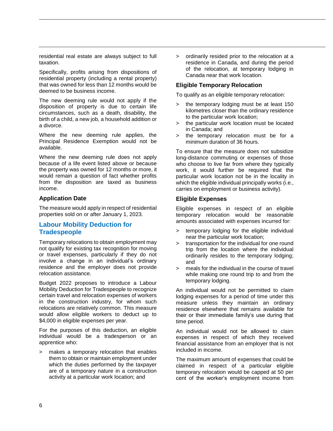residential real estate are always subject to full taxation.

Specifically, profits arising from dispositions of residential property (including a rental property) that was owned for less than 12 months would be deemed to be business income.

The new deeming rule would not apply if the disposition of property is due to certain life circumstances, such as a death, disability, the birth of a child, a new job, a household addition or a divorce.

Where the new deeming rule applies, the Principal Residence Exemption would not be available.

Where the new deeming rule does not apply because of a life event listed above or because the property was owned for 12 months or more, it would remain a question of fact whether profits from the disposition are taxed as business income.

#### **Application Date**

The measure would apply in respect of residential properties sold on or after January 1, 2023.

## **Labour Mobility Deduction for Tradespeople**

Temporary relocations to obtain employment may not qualify for existing tax recognition for moving or travel expenses, particularly if they do not involve a change in an individual's ordinary residence and the employer does not provide relocation assistance.

Budget 2022 proposes to introduce a Labour Mobility Deduction for Tradespeople to recognize certain travel and relocation expenses of workers in the construction industry, for whom such relocations are relatively common. This measure would allow eligible workers to deduct up to \$4,000 in eligible expenses per year.

For the purposes of this deduction, an eligible individual would be a tradesperson or an apprentice who:

> makes a temporary relocation that enables them to obtain or maintain employment under which the duties performed by the taxpayer are of a temporary nature in a construction activity at a particular work location; and

> ordinarily resided prior to the relocation at a residence in Canada, and during the period of the relocation, at temporary lodging in Canada near that work location.

#### **Eligible Temporary Relocation**

To qualify as an eligible temporary relocation:

- > the temporary lodging must be at least 150 kilometres closer than the ordinary residence to the particular work location;
- > the particular work location must be located in Canada; and
- > the temporary relocation must be for a minimum duration of 36 hours.

To ensure that the measure does not subsidize long-distance commuting or expenses of those who choose to live far from where they typically work, it would further be required that the particular work location not be in the locality in which the eligible individual principally works (i.e., carries on employment or business activity).

#### **Eligible Expenses**

Eligible expenses in respect of an eligible temporary relocation would be reasonable amounts associated with expenses incurred for:

- > temporary lodging for the eligible individual near the particular work location;
- > transportation for the individual for one round trip from the location where the individual ordinarily resides to the temporary lodging; and
- > meals for the individual in the course of travel while making one round trip to and from the temporary lodging.

An individual would not be permitted to claim lodging expenses for a period of time under this measure unless they maintain an ordinary residence elsewhere that remains available for their or their immediate family's use during that time period.

An individual would not be allowed to claim expenses in respect of which they received financial assistance from an employer that is not included in income.

The maximum amount of expenses that could be claimed in respect of a particular eligible temporary relocation would be capped at 50 per cent of the worker's employment income from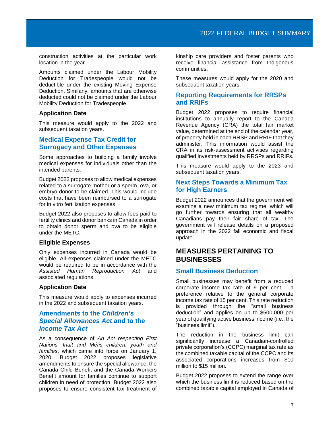construction activities at the particular work location in the year.

Amounts claimed under the Labour Mobility Deduction for Tradespeople would not be deductible under the existing Moving Expense Deduction. Similarly, amounts that are otherwise deducted could not be claimed under the Labour Mobility Deduction for Tradespeople.

#### **Application Date**

This measure would apply to the 2022 and subsequent taxation years.

#### **Medical Expense Tax Credit for Surrogacy and Other Expenses**

Some approaches to building a family involve medical expenses for individuals other than the intended parents.

Budget 2022 proposes to allow medical expenses related to a surrogate mother or a sperm, ova, or embryo donor to be claimed. This would include costs that have been reimbursed to a surrogate for in vitro fertilization expenses.

Budget 2022 also proposes to allow fees paid to fertility clinics and donor banks in Canada in order to obtain donor sperm and ova to be eligible under the METC.

#### **Eligible Expenses**

Only expenses incurred in Canada would be eligible. All expenses claimed under the METC would be required to be in accordance with the *Assisted Human Reproduction Act* and associated regulations.

#### **Application Date**

This measure would apply to expenses incurred in the 2022 and subsequent taxation years.

## **Amendments to the** *Children's Special Allowances Act* **and to the**  *Income Tax Act*

As a consequence of *An Act respecting First Nations, Inuit and Métis children, youth and families*, which came into force on January 1, 2020, Budget 2022 proposes legislative amendments to ensure the special allowance, the Canada Child Benefit and the Canada Workers Benefit amount for families continue to support children in need of protection. Budget 2022 also proposes to ensure consistent tax treatment of

kinship care providers and foster parents who receive financial assistance from Indigenous communities.

These measures would apply for the 2020 and subsequent taxation years.

## **Reporting Requirements for RRSPs and RRIFs**

Budget 2022 proposes to require financial institutions to annually report to the Canada Revenue Agency (CRA) the total fair market value, determined at the end of the calendar year, of property held in each RRSP and RRIF that they administer. This information would assist the CRA in its risk-assessment activities regarding qualified investments held by RRSPs and RRIFs.

This measure would apply to the 2023 and subsequent taxation years.

## **Next Steps Towards a Minimum Tax for High Earners**

Budget 2022 announces that the government will examine a new minimum tax regime, which will go further towards ensuring that all wealthy Canadians pay their fair share of tax. The government will release details on a proposed approach in the 2022 fall economic and fiscal update.

## <span id="page-8-0"></span>**MEASURES PERTAINING TO BUSINESSES**

#### **Small Business Deduction**

Small businesses may benefit from a reduced corporate income tax rate of  $9$  per cent  $-$  a preference relative to the general corporate income tax rate of 15 per cent. This rate reduction is provided through the "small business deduction" and applies on up to \$500,000 per year of qualifying active business income (i.e., the "business limit").

The reduction in the business limit can significantly increase a Canadian-controlled private corporation's (CCPC) marginal tax rate as the combined taxable capital of the CCPC and its associated corporations increases from \$10 million to \$15 million.

Budget 2022 proposes to extend the range over which the business limit is reduced based on the combined taxable capital employed in Canada of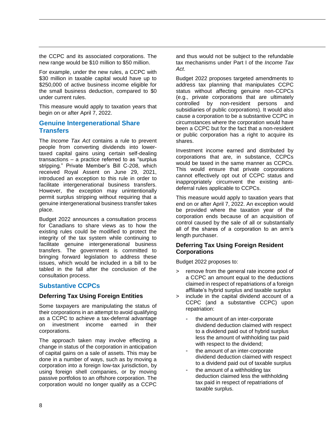the CCPC and its associated corporations. The new range would be \$10 million to \$50 million.

For example, under the new rules, a CCPC with \$30 million in taxable capital would have up to \$250,000 of active business income eligible for the small business deduction, compared to \$0 under current rules.

This measure would apply to taxation years that begin on or after April 7, 2022.

## **Genuine Intergenerational Share Transfers**

The *Income Tax Act* contains a rule to prevent people from converting dividends into lowertaxed capital gains using certain self-dealing transactions – a practice referred to as "surplus stripping." Private Member's Bill C-208, which received Royal Assent on June 29, 2021, introduced an exception to this rule in order to facilitate intergenerational business transfers. However, the exception may unintentionally permit surplus stripping without requiring that a genuine intergenerational business transfer takes place.

Budget 2022 announces a consultation process for Canadians to share views as to how the existing rules could be modified to protect the integrity of the tax system while continuing to facilitate genuine intergenerational business transfers. The government is committed to bringing forward legislation to address these issues, which would be included in a bill to be tabled in the fall after the conclusion of the consultation process.

## **Substantive CCPCs**

#### **Deferring Tax Using Foreign Entities**

Some taxpayers are manipulating the status of their corporations in an attempt to avoid qualifying as a CCPC to achieve a tax-deferral advantage on investment income earned in their corporations.

The approach taken may involve effecting a change in status of the corporation in anticipation of capital gains on a sale of assets. This may be done in a number of ways, such as by moving a corporation into a foreign low-tax jurisdiction, by using foreign shell companies, or by moving passive portfolios to an offshore corporation. The corporation would no longer qualify as a CCPC

and thus would not be subject to the refundable tax mechanisms under Part I of the *Income Tax Act*.

Budget 2022 proposes targeted amendments to address tax planning that manipulates CCPC status without affecting genuine non-CCPCs (e.g., private corporations that are ultimately controlled by non-resident persons and subsidiaries of public corporations). It would also cause a corporation to be a substantive CCPC in circumstances where the corporation would have been a CCPC but for the fact that a non-resident or public corporation has a right to acquire its shares.

Investment income earned and distributed by corporations that are, in substance, CCPCs would be taxed in the same manner as CCPCs. This would ensure that private corporations cannot effectively opt out of CCPC status and inappropriately circumvent the existing antideferral rules applicable to CCPCs.

This measure would apply to taxation years that end on or after April 7, 2022. An exception would be provided where the taxation year of the corporation ends because of an acquisition of control caused by the sale of all or substantially all of the shares of a corporation to an arm's length purchaser.

#### **Deferring Tax Using Foreign Resident Corporations**

Budget 2022 proposes to:

- > remove from the general rate income pool of a CCPC an amount equal to the deductions claimed in respect of repatriations of a foreign affiliate's hybrid surplus and taxable surplus
- > include in the capital dividend account of a CCPC (and a substantive CCPC) upon repatriation:
	- the amount of an inter-corporate dividend deduction claimed with respect to a dividend paid out of hybrid surplus less the amount of withholding tax paid with respect to the dividend;
	- the amount of an inter-corporate dividend deduction claimed with respect to a dividend paid out of taxable surplus
	- the amount of a withholding tax deduction claimed less the withholding tax paid in respect of repatriations of taxable surplus.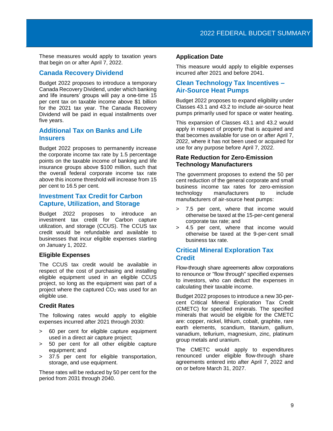These measures would apply to taxation years that begin on or after April 7, 2022.

## **Canada Recovery Dividend**

Budget 2022 proposes to introduce a temporary Canada Recovery Dividend, under which banking and life insurers' groups will pay a one-time 15 per cent tax on taxable income above \$1 billion for the 2021 tax year. The Canada Recovery Dividend will be paid in equal installments over five years.

## **Additional Tax on Banks and Life Insurers**

Budget 2022 proposes to permanently increase the corporate income tax rate by 1.5 percentage points on the taxable income of banking and life insurance groups above \$100 million, such that the overall federal corporate income tax rate above this income threshold will increase from 15 per cent to 16.5 per cent.

## **Investment Tax Credit for Carbon Capture, Utilization, and Storage**

Budget 2022 proposes to introduce an investment tax credit for Carbon capture utilization, and storage (CCUS). The CCUS tax credit would be refundable and available to businesses that incur eligible expenses starting on January 1, 2022.

## **Eligible Expenses**

The CCUS tax credit would be available in respect of the cost of purchasing and installing eligible equipment used in an eligible CCUS project, so long as the equipment was part of a project where the captured CO<sup>2</sup> was used for an eligible use.

#### **Credit Rates**

The following rates would apply to eligible expenses incurred after 2021 through 2030:

- > 60 per cent for eligible capture equipment used in a direct air capture project;
- > 50 per cent for all other eligible capture equipment; and
- > 37.5 per cent for eligible transportation, storage, and use equipment.

These rates will be reduced by 50 per cent for the period from 2031 through 2040.

#### **Application Date**

This measure would apply to eligible expenses incurred after 2021 and before 2041.

## **Clean Technology Tax Incentives – Air-Source Heat Pumps**

Budget 2022 proposes to expand eligibility under Classes 43.1 and 43.2 to include air-source heat pumps primarily used for space or water heating.

This expansion of Classes 43.1 and 43.2 would apply in respect of property that is acquired and that becomes available for use on or after April 7, 2022, where it has not been used or acquired for use for any purpose before April 7, 2022.

#### **Rate Reduction for Zero-Emission Technology Manufacturers**

The government proposes to extend the 50 per cent reduction of the general corporate and small business income tax rates for zero-emission technology manufacturers to include manufacturers of air-source heat pumps:

- > 7.5 per cent, where that income would otherwise be taxed at the 15-per-cent general corporate tax rate; and
- > 4.5 per cent, where that income would otherwise be taxed at the 9-per-cent small business tax rate.

## **Critical Mineral Exploration Tax Credit**

Flow-through share agreements allow corporations to renounce or "flow through" specified expenses to investors, who can deduct the expenses in calculating their taxable income.

Budget 2022 proposes to introduce a new 30-percent Critical Mineral Exploration Tax Credit (CMETC) for specified minerals. The specified minerals that would be eligible for the CMETC are: copper, nickel, lithium, cobalt, graphite, rare earth elements, scandium, titanium, gallium, vanadium, tellurium, magnesium, zinc, platinum group metals and uranium.

The CMETC would apply to expenditures renounced under eligible flow-through share agreements entered into after April 7, 2022 and on or before March 31, 2027.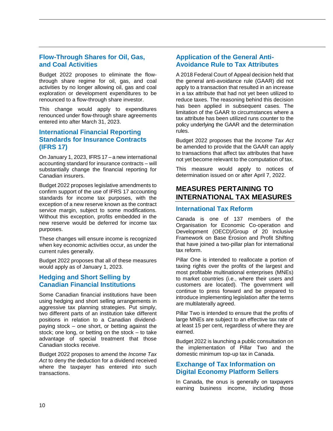## **Flow-Through Shares for Oil, Gas, and Coal Activities**

Budget 2022 proposes to eliminate the flowthrough share regime for oil, gas, and coal activities by no longer allowing oil, gas and coal exploration or development expenditures to be renounced to a flow-through share investor.

This change would apply to expenditures renounced under flow-through share agreements entered into after March 31, 2023.

## **International Financial Reporting Standards for Insurance Contracts (IFRS 17)**

On January 1, 2023, IFRS 17 – a new international accounting standard for insurance contracts – will substantially change the financial reporting for Canadian insurers.

Budget 2022 proposes legislative amendments to confirm support of the use of IFRS 17 accounting standards for income tax purposes, with the exception of a new reserve known as the contract service margin, subject to some modifications. Without this exception, profits embedded in the new reserve would be deferred for income tax purposes.

These changes will ensure income is recognized when key economic activities occur, as under the current rules generally.

Budget 2022 proposes that all of these measures would apply as of January 1, 2023.

## **Hedging and Short Selling by Canadian Financial Institutions**

Some Canadian financial institutions have been using hedging and short selling arrangements in aggressive tax planning strategies. Put simply, two different parts of an institution take different positions in relation to a Canadian dividendpaying stock – one short, or betting against the stock; one long, or betting on the stock – to take advantage of special treatment that those Canadian stocks receive.

Budget 2022 proposes to amend the *Income Tax Act* to deny the deduction for a dividend received where the taxpayer has entered into such transactions.

## **Application of the General Anti-Avoidance Rule to Tax Attributes**

A 2018 Federal Court of Appeal decision held that the general anti-avoidance rule (GAAR) did not apply to a transaction that resulted in an increase in a tax attribute that had not yet been utilized to reduce taxes. The reasoning behind this decision has been applied in subsequent cases. The limitation of the GAAR to circumstances where a tax attribute has been utilized runs counter to the policy underlying the GAAR and the determination rules.

Budget 2022 proposes that the *Income Tax Act* be amended to provide that the GAAR can apply to transactions that affect tax attributes that have not yet become relevant to the computation of tax.

This measure would apply to notices of determination issued on or after April 7, 2022.

# <span id="page-11-0"></span>**MEASURES PERTAINING TO INTERNATIONAL TAX MEASURES**

#### **International Tax Reform**

Canada is one of 137 members of the Organisation for Economic Co-operation and Development (OECD)/Group of 20 Inclusive Framework on Base Erosion and Profit Shifting that have joined a two-pillar plan for international tax reform.

Pillar One is intended to reallocate a portion of taxing rights over the profits of the largest and most profitable multinational enterprises (MNEs) to market countries (i.e., where their users and customers are located). The government will continue to press forward and be prepared to introduce implementing legislation after the terms are multilaterally agreed.

Pillar Two is intended to ensure that the profits of large MNEs are subject to an effective tax rate of at least 15 per cent, regardless of where they are earned.

Budget 2022 is launching a public consultation on the implementation of Pillar Two and the domestic minimum top-up tax in Canada.

## **Exchange of Tax Information on Digital Economy Platform Sellers**

In Canada, the onus is generally on taxpayers earning business income, including those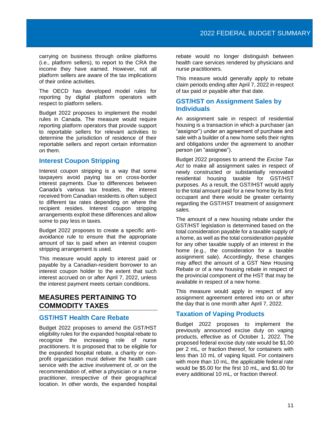carrying on business through online platforms (i.e., platform sellers), to report to the CRA the income they have earned. However, not all platform sellers are aware of the tax implications of their online activities.

The OECD has developed model rules for reporting by digital platform operators with respect to platform sellers.

Budget 2022 proposes to implement the model rules in Canada. The measure would require reporting platform operators that provide support to reportable sellers for relevant activities to determine the jurisdiction of residence of their reportable sellers and report certain information on them.

## **Interest Coupon Stripping**

Interest coupon stripping is a way that some taxpayers avoid paying tax on cross-border interest payments. Due to differences between Canada's various tax treaties, the interest received from Canadian residents is often subject to different tax rates depending on where the recipient resides. Interest coupon stripping arrangements exploit these differences and allow some to pay less in taxes.

Budget 2022 proposes to create a specific antiavoidance rule to ensure that the appropriate amount of tax is paid when an interest coupon stripping arrangement is used.

This measure would apply to interest paid or payable by a Canadian-resident borrower to an interest coupon holder to the extent that such interest accrued on or after April 7, 2022, unless the interest payment meets certain conditions.

## <span id="page-12-0"></span>**MEASURES PERTAINING TO COMMODITY TAXES**

## **GST/HST Health Care Rebate**

Budget 2022 proposes to amend the GST/HST eligibility rules for the expanded hospital rebate to recognize the increasing role of nurse practitioners. It is proposed that to be eligible for the expanded hospital rebate, a charity or nonprofit organization must deliver the health care service with the active involvement of, or on the recommendation of, either a physician or a nurse practitioner, irrespective of their geographical location. In other words, the expanded hospital

rebate would no longer distinguish between health care services rendered by physicians and nurse practitioners.

This measure would generally apply to rebate claim periods ending after April 7, 2022 in respect of tax paid or payable after that date.

## **GST/HST on Assignment Sales by Individuals**

An assignment sale in respect of residential housing is a transaction in which a purchaser (an "assignor") under an agreement of purchase and sale with a builder of a new home sells their rights and obligations under the agreement to another person (an "assignee").

Budget 2022 proposes to amend the *Excise Tax Act* to make all assignment sales in respect of newly constructed or substantially renovated residential housing taxable for GST/HST purposes. As a result, the GST/HST would apply to the total amount paid for a new home by its first occupant and there would be greater certainty regarding the GST/HST treatment of assignment sales.

The amount of a new housing rebate under the GST/HST legislation is determined based on the total consideration payable for a taxable supply of a home, as well as the total consideration payable for any other taxable supply of an interest in the home (e.g., the consideration for a taxable assignment sale). Accordingly, these changes may affect the amount of a GST New Housing Rebate or of a new housing rebate in respect of the provincial component of the HST that may be available in respect of a new home.

This measure would apply in respect of any assignment agreement entered into on or after the day that is one month after April 7, 2022.

## **Taxation of Vaping Products**

Budget 2022 proposes to implement the previously announced excise duty on vaping products, effective as of October 1, 2022. The proposed federal excise duty rate would be \$1.00 per 2 mL, or fraction thereof, for containers with less than 10 mL of vaping liquid. For containers with more than 10 mL, the applicable federal rate would be \$5.00 for the first 10 mL, and \$1.00 for every additional 10 mL, or fraction thereof.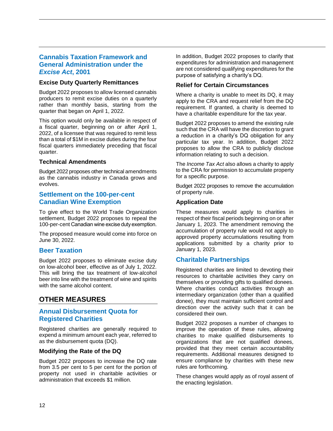## **Cannabis Taxation Framework and General Administration under the**  *Excise Act***, 2001**

#### **Excise Duty Quarterly Remittances**

Budget 2022 proposes to allow licensed cannabis producers to remit excise duties on a quarterly rather than monthly basis, starting from the quarter that began on April 1, 2022.

This option would only be available in respect of a fiscal quarter, beginning on or after April 1, 2022, of a licensee that was required to remit less than a total of \$1M in excise duties during the four fiscal quarters immediately preceding that fiscal quarter.

#### **Technical Amendments**

Budget 2022 proposes other technical amendments as the cannabis industry in Canada grows and evolves.

#### **Settlement on the 100-per-cent Canadian Wine Exemption**

To give effect to the World Trade Organization settlement, Budget 2022 proposes to repeal the 100-per-cent Canadian wine excise duty exemption.

The proposed measure would come into force on June 30, 2022.

## **Beer Taxation**

Budget 2022 proposes to eliminate excise duty on low-alcohol beer, effective as of July 1, 2022. This will bring the tax treatment of low-alcohol beer into line with the treatment of wine and spirits with the same alcohol content.

# <span id="page-13-0"></span>**OTHER MEASURES**

## **Annual Disbursement Quota for Registered Charities**

Registered charities are generally required to expend a minimum amount each year, referred to as the disbursement quota (DQ).

#### **Modifying the Rate of the DQ**

Budget 2022 proposes to increase the DQ rate from 3.5 per cent to 5 per cent for the portion of property not used in charitable activities or administration that exceeds \$1 million.

In addition, Budget 2022 proposes to clarify that expenditures for administration and management are not considered qualifying expenditures for the purpose of satisfying a charity's DQ.

#### **Relief for Certain Circumstances**

Where a charity is unable to meet its DQ, it may apply to the CRA and request relief from the DQ requirement. If granted, a charity is deemed to have a charitable expenditure for the tax year.

Budget 2022 proposes to amend the existing rule such that the CRA will have the discretion to grant a reduction in a charity's DQ obligation for any particular tax year. In addition, Budget 2022 proposes to allow the CRA to publicly disclose information relating to such a decision.

The *Income Tax Act* also allows a charity to apply to the CRA for permission to accumulate property for a specific purpose.

Budget 2022 proposes to remove the accumulation of property rule.

#### **Application Date**

These measures would apply to charities in respect of their fiscal periods beginning on or after January 1, 2023. The amendment removing the accumulation of property rule would not apply to approved property accumulations resulting from applications submitted by a charity prior to January 1, 2023.

## **Charitable Partnerships**

Registered charities are limited to devoting their resources to charitable activities they carry on themselves or providing gifts to qualified donees. Where charities conduct activities through an intermediary organization (other than a qualified donee), they must maintain sufficient control and direction over the activity such that it can be considered their own.

Budget 2022 proposes a number of changes to improve the operation of these rules, allowing charities to make qualified disbursements to organizations that are not qualified donees, provided that they meet certain accountability requirements. Additional measures designed to ensure compliance by charities with these new rules are forthcoming.

These changes would apply as of royal assent of the enacting legislation.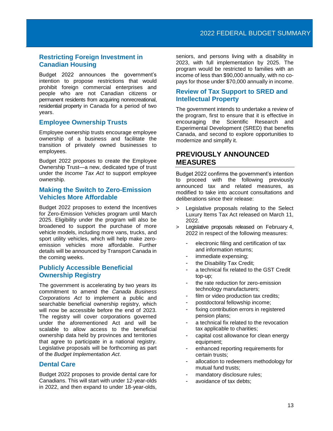## **Restricting Foreign Investment in Canadian Housing**

Budget 2022 announces the government's intention to propose restrictions that would prohibit foreign commercial enterprises and people who are not Canadian citizens or permanent residents from acquiring nonrecreational, residential property in Canada for a period of two years.

#### **Employee Ownership Trusts**

Employee ownership trusts encourage employee ownership of a business and facilitate the transition of privately owned businesses to employees.

Budget 2022 proposes to create the Employee Ownership Trust—a new, dedicated type of trust under the *Income Tax Act* to support employee ownership.

#### **Making the Switch to Zero-Emission Vehicles More Affordable**

Budget 2022 proposes to extend the Incentives for Zero-Emission Vehicles program until March 2025. Eligibility under the program will also be broadened to support the purchase of more vehicle models, including more vans, trucks, and sport utility vehicles, which will help make zeroemission vehicles more affordable. Further details will be announced by Transport Canada in the coming weeks.

## **Publicly Accessible Beneficial Ownership Registry**

The government is accelerating by two years its commitment to amend the *Canada Business Corporations Act* to implement a public and searchable beneficial ownership registry, which will now be accessible before the end of 2023. The registry will cover corporations governed under the aforementioned Act and will be scalable to allow access to the beneficial ownership data held by provinces and territories that agree to participate in a national registry. Legislative proposals will be forthcoming as part of the *Budget Implementation Act*.

#### **Dental Care**

Budget 2022 proposes to provide dental care for Canadians. This will start with under 12-year-olds in 2022, and then expand to under 18-year-olds,

seniors, and persons living with a disability in 2023, with full implementation by 2025. The program would be restricted to families with an income of less than \$90,000 annually, with no copays for those under \$70,000 annually in income.

## **Review of Tax Support to SRED and Intellectual Property**

The government intends to undertake a review of the program, first to ensure that it is effective in encouraging the Scientific Research and Experimental Development (SRED) that benefits Canada, and second to explore opportunities to modernize and simplify it.

# <span id="page-14-0"></span>**PREVIOUSLY ANNOUNCED MEASURES**

Budget 2022 confirms the government's intention to proceed with the following previously announced tax and related measures, as modified to take into account consultations and deliberations since their release:

- Legislative proposals relating to the Select Luxury Items Tax Act released on March 11, 2022.
- > Legislative proposals released on February 4, 2022 in respect of the following measures:
	- electronic filing and certification of tax and information returns;
	- immediate expensing;
	- the Disability Tax Credit;
	- a technical fix related to the GST Credit top-up;
	- the rate reduction for zero-emission technology manufacturers;
	- film or video production tax credits;
	- postdoctoral fellowship income;
	- fixing contribution errors in registered pension plans;
	- a technical fix related to the revocation tax applicable to charities;
	- capital cost allowance for clean energy equipment;
	- enhanced reporting requirements for certain trusts;
	- allocation to redeemers methodology for mutual fund trusts;
	- mandatory disclosure rules;
	- avoidance of tax debts;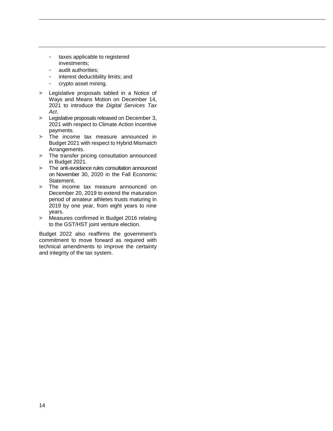- taxes applicable to registered investments;
- audit authorities;
- interest deductibility limits; and
- crypto asset mining.
- > Legislative proposals tabled in a Notice of Ways and Means Motion on December 14, 2021 to introduce the *Digital Services Tax Act*.
- > Legislative proposals released on December 3, 2021 with respect to Climate Action Incentive payments.
- > The income tax measure announced in Budget 2021 with respect to Hybrid Mismatch Arrangements.
- > The transfer pricing consultation announced in Budget 2021.
- > The anti-avoidance rules consultation announced on November 30, 2020 in the Fall Economic Statement.
- > The income tax measure announced on December 20, 2019 to extend the maturation period of amateur athletes trusts maturing in 2019 by one year, from eight years to nine years.
- > Measures confirmed in Budget 2016 relating to the GST/HST joint venture election.

Budget 2022 also reaffirms the government's commitment to move forward as required with technical amendments to improve the certainty and integrity of the tax system.